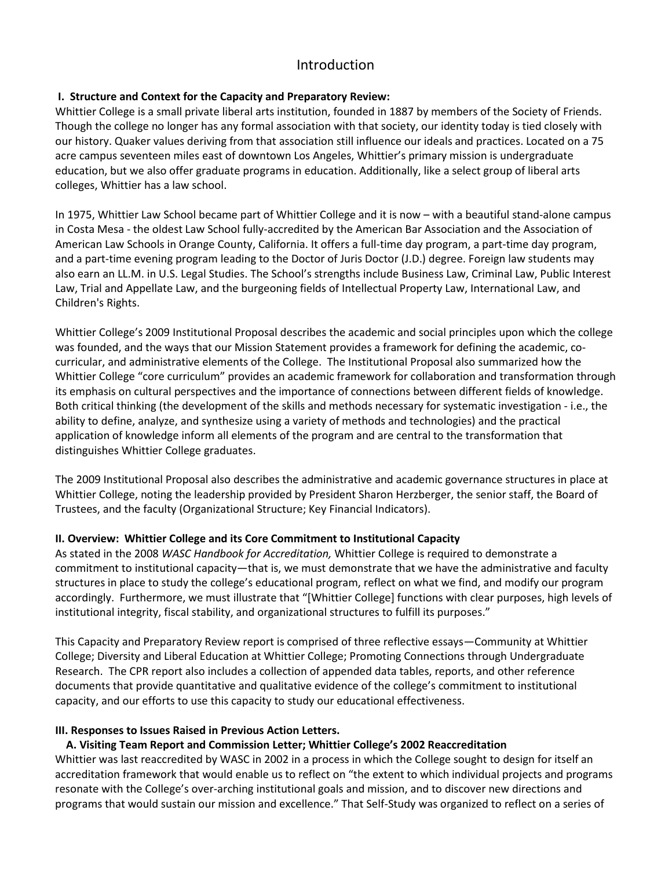# Introduction

### **I. Structure and Context for the Capacity and Preparatory Review:**

Whittier College is a small private liberal arts institution, founded in 1887 by members of the Society of Friends. Though the college no longer has any formal association with that society, our identity today is tied closely with our history. Quaker values deriving from that association still influence our ideals and practices. Located on a 75 acre campus seventeen miles east of downtown Los Angeles, Whittier's primary mission is undergraduate education, but we also offer graduate programs in education. Additionally, like a select group of liberal arts colleges, Whittier has a law school.

In 1975, Whittier Law School became part of Whittier College and it is now – with a beautiful stand-alone campus in Costa Mesa - the oldest Law School fully-accredited by the American Bar Association and the Association of American Law Schools in Orange County, California. It offers a full-time day program, a part-time day program, and a part-time evening program leading to the Doctor of Juris Doctor (J.D.) degree. Foreign law students may also earn an LL.M. in U.S. Legal Studies. The School's strengths include Business Law, Criminal Law, Public Interest Law, Trial and Appellate Law, and the burgeoning fields of Intellectual Property Law, International Law, and Children's Rights.

Whittier College's 2009 Institutional Proposal describes the academic and social principles upon which the college was founded, and the ways that our Mission Statement provides a framework for defining the academic, cocurricular, and administrative elements of the College. The Institutional Proposal also summarized how the Whittier College "core curriculum" provides an academic framework for collaboration and transformation through its emphasis on cultural perspectives and the importance of connections between different fields of knowledge. Both critical thinking (the development of the skills and methods necessary for systematic investigation - i.e., the ability to define, analyze, and synthesize using a variety of methods and technologies) and the practical application of knowledge inform all elements of the program and are central to the transformation that distinguishes Whittier College graduates.

The 2009 Institutional Proposal also describes the administrative and academic governance structures in place at Whittier College, noting the leadership provided by President Sharon Herzberger, the senior staff, the Board of Trustees, and the faculty (Organizational Structure; Key Financial Indicators).

### **II. Overview: Whittier College and its Core Commitment to Institutional Capacity**

As stated in the 2008 *WASC Handbook for Accreditation,* Whittier College is required to demonstrate a commitment to institutional capacity—that is, we must demonstrate that we have the administrative and faculty structures in place to study the college's educational program, reflect on what we find, and modify our program accordingly. Furthermore, we must illustrate that "[Whittier College] functions with clear purposes, high levels of institutional integrity, fiscal stability, and organizational structures to fulfill its purposes."

This Capacity and Preparatory Review report is comprised of three reflective essays—Community at Whittier College; Diversity and Liberal Education at Whittier College; Promoting Connections through Undergraduate Research. The CPR report also includes a collection of appended data tables, reports, and other reference documents that provide quantitative and qualitative evidence of the college's commitment to institutional capacity, and our efforts to use this capacity to study our educational effectiveness.

#### **III. Responses to Issues Raised in Previous Action Letters.**

### **A. Visiting Team Report and Commission Letter; Whittier College's 2002 Reaccreditation**

Whittier was last reaccredited by WASC in 2002 in a process in which the College sought to design for itself an accreditation framework that would enable us to reflect on "the extent to which individual projects and programs resonate with the College's over-arching institutional goals and mission, and to discover new directions and programs that would sustain our mission and excellence." That Self-Study was organized to reflect on a series of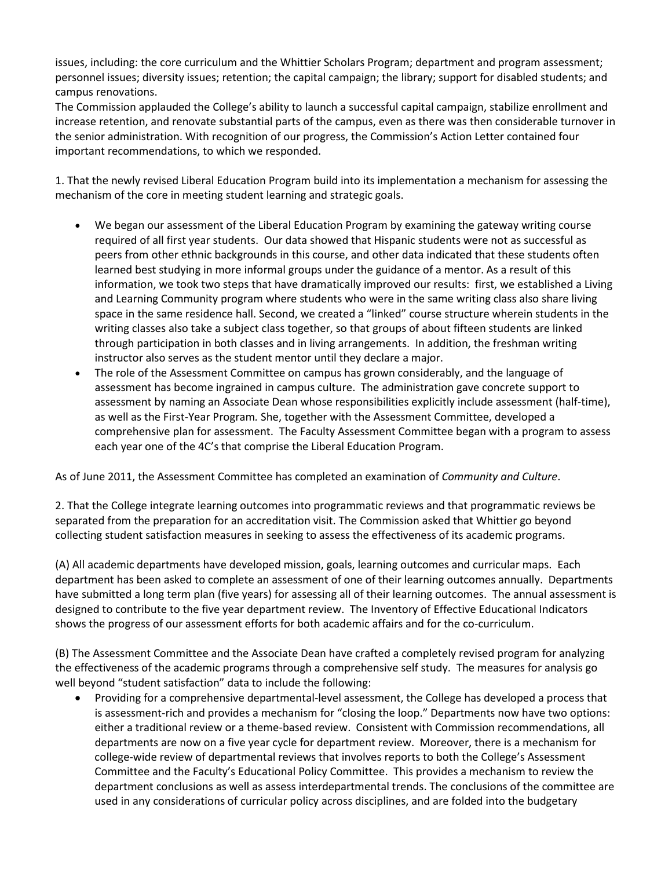issues, including: the core curriculum and the Whittier Scholars Program; department and program assessment; personnel issues; diversity issues; retention; the capital campaign; the library; support for disabled students; and campus renovations.

The Commission applauded the College's ability to launch a successful capital campaign, stabilize enrollment and increase retention, and renovate substantial parts of the campus, even as there was then considerable turnover in the senior administration. With recognition of our progress, the Commission's Action Letter contained four important recommendations, to which we responded.

1. That the newly revised Liberal Education Program build into its implementation a mechanism for assessing the mechanism of the core in meeting student learning and strategic goals.

- We began our assessment of the Liberal Education Program by examining the gateway writing course required of all first year students. Our data showed that Hispanic students were not as successful as peers from other ethnic backgrounds in this course, and other data indicated that these students often learned best studying in more informal groups under the guidance of a mentor. As a result of this information, we took two steps that have dramatically improved our results: first, we established a Living and Learning Community program where students who were in the same writing class also share living space in the same residence hall. Second, we created a "linked" course structure wherein students in the writing classes also take a subject class together, so that groups of about fifteen students are linked through participation in both classes and in living arrangements. In addition, the freshman writing instructor also serves as the student mentor until they declare a major.
- The role of the Assessment Committee on campus has grown considerably, and the language of assessment has become ingrained in campus culture. The administration gave concrete support to assessment by naming an Associate Dean whose responsibilities explicitly include assessment (half-time), as well as the First-Year Program*.* She, together with the Assessment Committee, developed a comprehensive plan for assessment. The Faculty Assessment Committee began with a program to assess each year one of the 4C's that comprise the Liberal Education Program.

As of June 2011, the Assessment Committee has completed an examination of *Community and Culture*.

2. That the College integrate learning outcomes into programmatic reviews and that programmatic reviews be separated from the preparation for an accreditation visit. The Commission asked that Whittier go beyond collecting student satisfaction measures in seeking to assess the effectiveness of its academic programs.

(A) All academic departments have developed mission, goals, learning outcomes and curricular maps. Each department has been asked to complete an assessment of one of their learning outcomes annually. Departments have submitted a long term plan (five years) for assessing all of their learning outcomes. The annual assessment is designed to contribute to the five year department review. The Inventory of Effective Educational Indicators shows the progress of our assessment efforts for both academic affairs and for the co-curriculum.

(B) The Assessment Committee and the Associate Dean have crafted a completely revised program for analyzing the effectiveness of the academic programs through a comprehensive self study. The measures for analysis go well beyond "student satisfaction" data to include the following:

• Providing for a comprehensive departmental-level assessment, the College has developed a process that is assessment-rich and provides a mechanism for "closing the loop." Departments now have two options: either a traditional review or a theme-based review. Consistent with Commission recommendations, all departments are now on a five year cycle for department review. Moreover, there is a mechanism for college-wide review of departmental reviews that involves reports to both the College's Assessment Committee and the Faculty's Educational Policy Committee. This provides a mechanism to review the department conclusions as well as assess interdepartmental trends. The conclusions of the committee are used in any considerations of curricular policy across disciplines, and are folded into the budgetary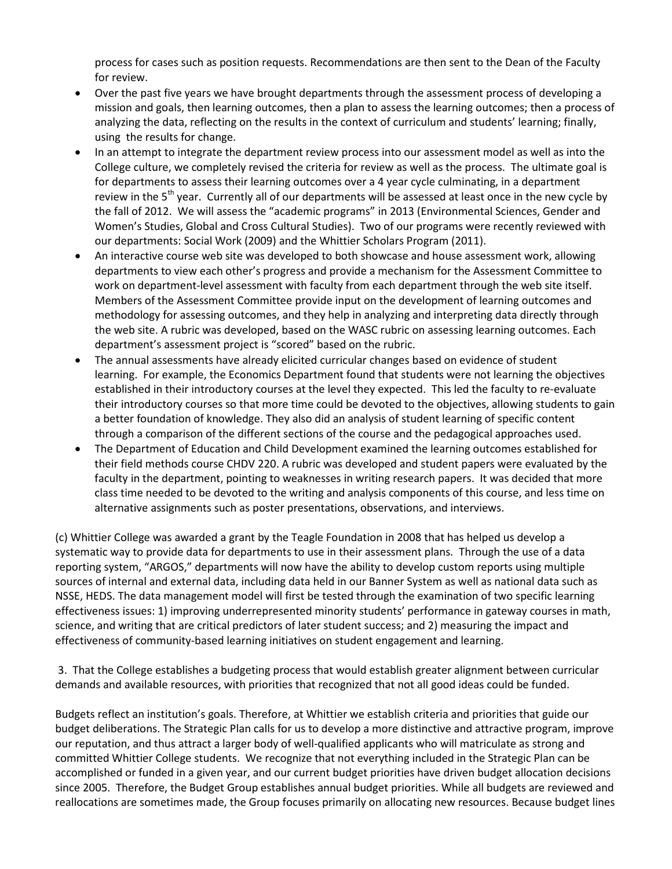process for cases such as position requests. Recommendations are then sent to the Dean of the Faculty for review.

- Over the past five years we have brought departments through the assessment process of developing a mission and goals, then learning outcomes, then a plan to assess the learning outcomes; then a process of analyzing the data, reflecting on the results in the context of curriculum and students' learning; finally, using the results for change.
- In an attempt to integrate the department review process into our assessment model as well as into the College culture, we completely revised the criteria for review as well as the process. The ultimate goal is for departments to assess their learning outcomes over a 4 year cycle culminating, in a department review in the 5<sup>th</sup> year. Currently all of our departments will be assessed at least once in the new cycle by the fall of 2012. We will assess the "academic programs" in 2013 (Environmental Sciences, Gender and Women's Studies, Global and Cross Cultural Studies). Two of our programs were recently reviewed with our departments: Social Work (2009) and the Whittier Scholars Program (2011).
- An interactive course web site was developed to both showcase and house assessment work, allowing departments to view each other's progress and provide a mechanism for the Assessment Committee to work on department-level assessment with faculty from each department through the web site itself. Members of the Assessment Committee provide input on the development of learning outcomes and methodology for assessing outcomes, and they help in analyzing and interpreting data directly through the web site. A rubric was developed, based on the WASC rubric on assessing learning outcomes. Each department's assessment project is "scored" based on the rubric.
- The annual assessments have already elicited curricular changes based on evidence of student learning. For example, the Economics Department found that students were not learning the objectives established in their introductory courses at the level they expected. This led the faculty to re-evaluate their introductory courses so that more time could be devoted to the objectives, allowing students to gain a better foundation of knowledge. They also did an analysis of student learning of specific content through a comparison of the different sections of the course and the pedagogical approaches used.
- The Department of Education and Child Development examined the learning outcomes established for their field methods course CHDV 220. A rubric was developed and student papers were evaluated by the faculty in the department, pointing to weaknesses in writing research papers. It was decided that more class time needed to be devoted to the writing and analysis components of this course, and less time on alternative assignments such as poster presentations, observations, and interviews.

(c) Whittier College was awarded a grant by the Teagle Foundation in 2008 that has helped us develop a systematic way to provide data for departments to use in their assessment plans. Through the use of a data reporting system, "ARGOS," departments will now have the ability to develop custom reports using multiple sources of internal and external data, including data held in our Banner System as well as national data such as NSSE, HEDS. The data management model will first be tested through the examination of two specific learning effectiveness issues: 1) improving underrepresented minority students' performance in gateway courses in math, science, and writing that are critical predictors of later student success; and 2) measuring the impact and effectiveness of community-based learning initiatives on student engagement and learning.

3. That the College establishes a budgeting process that would establish greater alignment between curricular demands and available resources, with priorities that recognized that not all good ideas could be funded.

Budgets reflect an institution's goals. Therefore, at Whittier we establish criteria and priorities that guide our budget deliberations. The Strategic Plan calls for us to develop a more distinctive and attractive program, improve our reputation, and thus attract a larger body of well-qualified applicants who will matriculate as strong and committed Whittier College students. We recognize that not everything included in the Strategic Plan can be accomplished or funded in a given year, and our current budget priorities have driven budget allocation decisions since 2005. Therefore, the Budget Group establishes annual budget priorities. While all budgets are reviewed and reallocations are sometimes made, the Group focuses primarily on allocating new resources. Because budget lines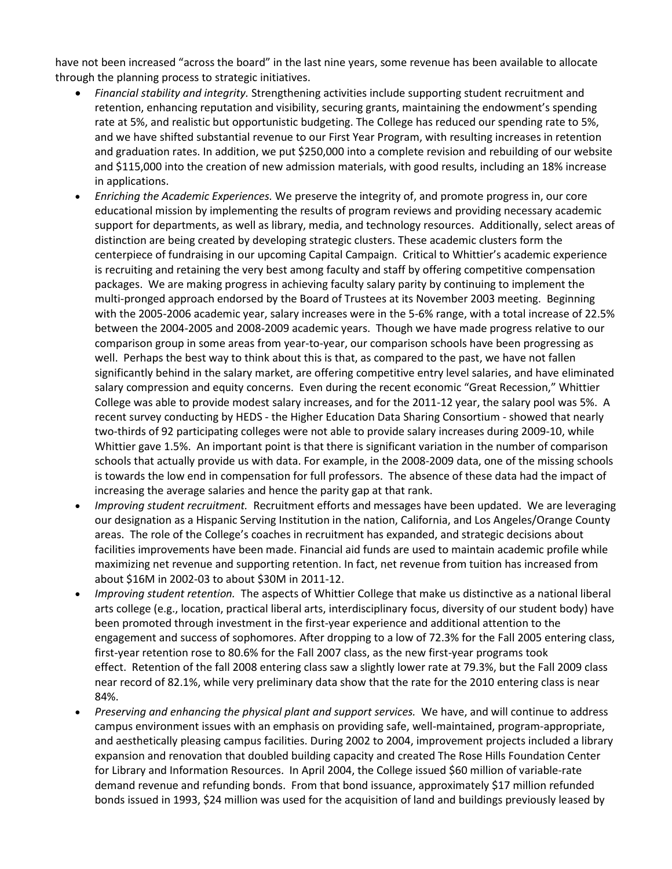have not been increased "across the board" in the last nine years, some revenue has been available to allocate through the planning process to strategic initiatives.

- *Financial stability and integrity.* Strengthening activities include supporting student recruitment and retention, enhancing reputation and visibility, securing grants, maintaining the endowment's spending rate at 5%, and realistic but opportunistic budgeting. The College has reduced our spending rate to 5%, and we have shifted substantial revenue to our First Year Program, with resulting increases in retention and graduation rates. In addition, we put \$250,000 into a complete revision and rebuilding of our website and \$115,000 into the creation of new admission materials, with good results, including an 18% increase in applications.
- *Enriching the Academic Experiences.* We preserve the integrity of, and promote progress in, our core educational mission by implementing the results of program reviews and providing necessary academic support for departments, as well as library, media, and technology resources. Additionally, select areas of distinction are being created by developing strategic clusters. These academic clusters form the centerpiece of fundraising in our upcoming Capital Campaign. Critical to Whittier's academic experience is recruiting and retaining the very best among faculty and staff by offering competitive compensation packages. We are making progress in achieving faculty salary parity by continuing to implement the multi-pronged approach endorsed by the Board of Trustees at its November 2003 meeting. Beginning with the 2005-2006 academic year, salary increases were in the 5-6% range, with a total increase of 22.5% between the 2004-2005 and 2008-2009 academic years. Though we have made progress relative to our comparison group in some areas from year-to-year, our comparison schools have been progressing as well. Perhaps the best way to think about this is that, as compared to the past, we have not fallen significantly behind in the salary market, are offering competitive entry level salaries, and have eliminated salary compression and equity concerns. Even during the recent economic "Great Recession," Whittier College was able to provide modest salary increases, and for the 2011-12 year, the salary pool was 5%. A recent survey conducting by HEDS - the Higher Education Data Sharing Consortium - showed that nearly two-thirds of 92 participating colleges were not able to provide salary increases during 2009-10, while Whittier gave 1.5%. An important point is that there is significant variation in the number of comparison schools that actually provide us with data. For example, in the 2008-2009 data, one of the missing schools is towards the low end in compensation for full professors. The absence of these data had the impact of increasing the average salaries and hence the parity gap at that rank.
- *Improving student recruitment.* Recruitment efforts and messages have been updated. We are leveraging our designation as a Hispanic Serving Institution in the nation, California, and Los Angeles/Orange County areas. The role of the College's coaches in recruitment has expanded, and strategic decisions about facilities improvements have been made. Financial aid funds are used to maintain academic profile while maximizing net revenue and supporting retention. In fact, net revenue from tuition has increased from about \$16M in 2002-03 to about \$30M in 2011-12.
- *Improving student retention.* The aspects of Whittier College that make us distinctive as a national liberal arts college (e.g., location, practical liberal arts, interdisciplinary focus, diversity of our student body) have been promoted through investment in the first-year experience and additional attention to the engagement and success of sophomores. After dropping to a low of 72.3% for the Fall 2005 entering class, first-year retention rose to 80.6% for the Fall 2007 class, as the new first-year programs took effect. Retention of the fall 2008 entering class saw a slightly lower rate at 79.3%, but the Fall 2009 class near record of 82.1%, while very preliminary data show that the rate for the 2010 entering class is near 84%.
- *Preserving and enhancing the physical plant and support services.* We have, and will continue to address campus environment issues with an emphasis on providing safe, well-maintained, program-appropriate, and aesthetically pleasing campus facilities. During 2002 to 2004, improvement projects included a library expansion and renovation that doubled building capacity and created The Rose Hills Foundation Center for Library and Information Resources. In April 2004, the College issued \$60 million of variable-rate demand revenue and refunding bonds. From that bond issuance, approximately \$17 million refunded bonds issued in 1993, \$24 million was used for the acquisition of land and buildings previously leased by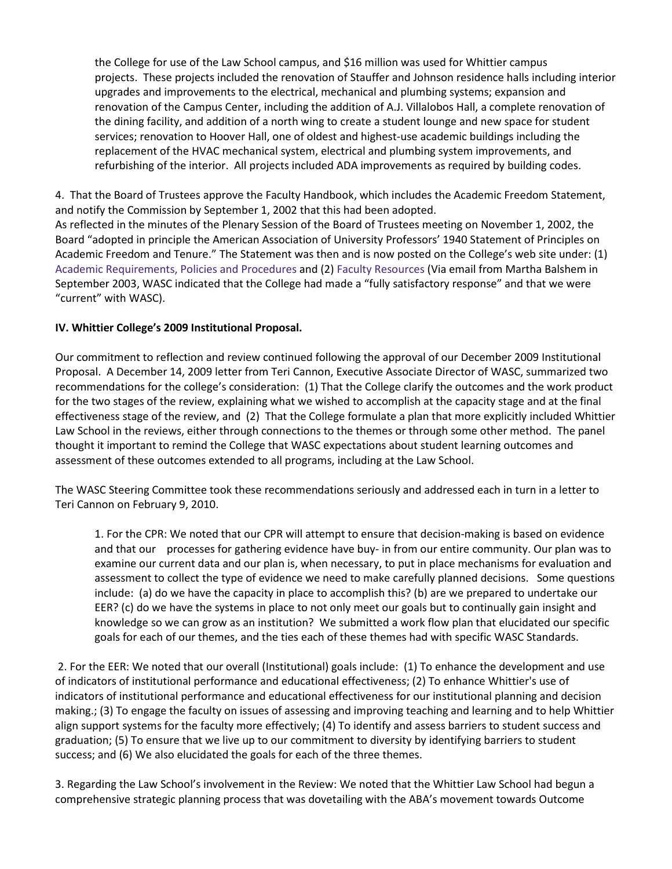the College for use of the Law School campus, and \$16 million was used for Whittier campus projects. These projects included the renovation of Stauffer and Johnson residence halls including interior upgrades and improvements to the electrical, mechanical and plumbing systems; expansion and renovation of the Campus Center, including the addition of A.J. Villalobos Hall, a complete renovation of the dining facility, and addition of a north wing to create a student lounge and new space for student services; renovation to Hoover Hall, one of oldest and highest-use academic buildings including the replacement of the HVAC mechanical system, electrical and plumbing system improvements, and refurbishing of the interior. All projects included ADA improvements as required by building codes.

4. That the Board of Trustees approve the Faculty Handbook, which includes the Academic Freedom Statement, and notify the Commission by September 1, 2002 that this had been adopted. As reflected in the minutes of the Plenary Session of the Board of Trustees meeting on November 1, 2002, the Board "adopted in principle the American Association of University Professors' 1940 Statement of Principles on Academic Freedom and Tenure." The Statement was then and is now posted on the College's web site under: (1) [Academic Requirements, Policies and](http://www.whittier.edu/Academics/AcademicRequirementsPoliciesAndProcedures/default.aspx) Procedures and (2) [Faculty Resources](http://www.whittier.edu/FacultyAndStaff/FacultyResources/default.aspx) (Via email from Martha Balshem in September 2003, WASC indicated that the College had made a "fully satisfactory response" and that we were "current" with WASC).

#### **IV. Whittier College's 2009 Institutional Proposal.**

Our commitment to reflection and review continued following the approval of our December 2009 Institutional Proposal. A December 14, 2009 letter from Teri Cannon, Executive Associate Director of WASC, summarized two recommendations for the college's consideration: (1) That the College clarify the outcomes and the work product for the two stages of the review, explaining what we wished to accomplish at the capacity stage and at the final effectiveness stage of the review, and (2) That the College formulate a plan that more explicitly included Whittier Law School in the reviews, either through connections to the themes or through some other method. The panel thought it important to remind the College that WASC expectations about student learning outcomes and assessment of these outcomes extended to all programs, including at the Law School.

The WASC Steering Committee took these recommendations seriously and addressed each in turn in a letter to Teri Cannon on February 9, 2010.

1. For the CPR: We noted that our CPR will attempt to ensure that decision-making is based on evidence and that our processes for gathering evidence have buy- in from our entire community. Our plan was to examine our current data and our plan is, when necessary, to put in place mechanisms for evaluation and assessment to collect the type of evidence we need to make carefully planned decisions. Some questions include: (a) do we have the capacity in place to accomplish this? (b) are we prepared to undertake our EER? (c) do we have the systems in place to not only meet our goals but to continually gain insight and knowledge so we can grow as an institution? We submitted a work flow plan that elucidated our specific goals for each of our themes, and the ties each of these themes had with specific WASC Standards.

2. For the EER: We noted that our overall (Institutional) goals include: (1) To enhance the development and use of indicators of institutional performance and educational effectiveness; (2) To enhance Whittier's use of indicators of institutional performance and educational effectiveness for our institutional planning and decision making.; (3) To engage the faculty on issues of assessing and improving teaching and learning and to help Whittier align support systems for the faculty more effectively; (4) To identify and assess barriers to student success and graduation; (5) To ensure that we live up to our commitment to diversity by identifying barriers to student success; and (6) We also elucidated the goals for each of the three themes.

3. Regarding the Law School's involvement in the Review: We noted that the Whittier Law School had begun a comprehensive strategic planning process that was dovetailing with the ABA's movement towards Outcome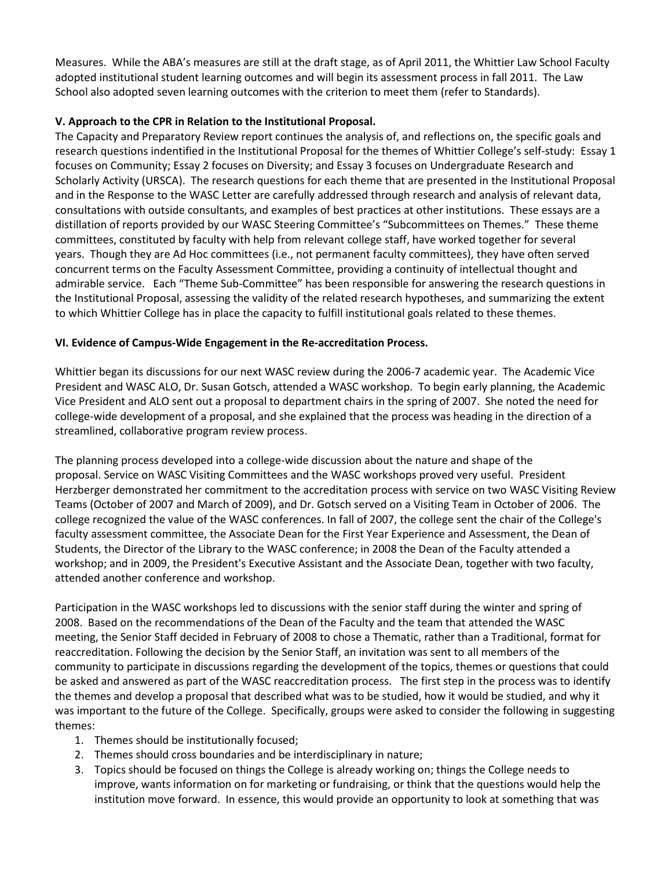Measures. While the ABA's measures are still at the draft stage, as of April 2011, the Whittier Law School Faculty adopted institutional student learning outcomes and will begin its assessment process in fall 2011. The Law School also adopted seven learning outcomes with the criterion to meet them (refer to Standards).

## **V. Approach to the CPR in Relation to the Institutional Proposal.**

The Capacity and Preparatory Review report continues the analysis of, and reflections on, the specific goals and research questions indentified in the Institutional Proposal for the themes of Whittier College's self-study: Essay 1 focuses on Community; Essay 2 focuses on Diversity; and Essay 3 focuses on Undergraduate Research and Scholarly Activity (URSCA). The research questions for each theme that are presented in the Institutional Proposal and in the Response to the WASC Letter are carefully addressed through research and analysis of relevant data, consultations with outside consultants, and examples of best practices at other institutions. These essays are a distillation of reports provided by our WASC Steering Committee's "Subcommittees on Themes." These theme committees, constituted by faculty with help from relevant college staff, have worked together for several years. Though they are Ad Hoc committees (i.e., not permanent faculty committees), they have often served concurrent terms on the Faculty Assessment Committee, providing a continuity of intellectual thought and admirable service. Each "Theme Sub-Committee" has been responsible for answering the research questions in the Institutional Proposal, assessing the validity of the related research hypotheses, and summarizing the extent to which Whittier College has in place the capacity to fulfill institutional goals related to these themes.

# **VI. Evidence of Campus-Wide Engagement in the Re-accreditation Process.**

Whittier began its discussions for our next WASC review during the 2006-7 academic year. The Academic Vice President and WASC ALO, Dr. Susan Gotsch, attended a WASC workshop. To begin early planning, the Academic Vice President and ALO sent out a proposal to department chairs in the spring of 2007. She noted the need for college-wide development of a proposal, and she explained that the process was heading in the direction of a streamlined, collaborative program review process.

The planning process developed into a college-wide discussion about the nature and shape of the proposal. Service on WASC Visiting Committees and the WASC workshops proved very useful. President Herzberger demonstrated her commitment to the accreditation process with service on two WASC Visiting Review Teams (October of 2007 and March of 2009), and Dr. Gotsch served on a Visiting Team in October of 2006. The college recognized the value of the WASC conferences. In fall of 2007, the college sent the chair of the College's faculty assessment committee, the Associate Dean for the First Year Experience and Assessment, the Dean of Students, the Director of the Library to the WASC conference; in 2008 the Dean of the Faculty attended a workshop; and in 2009, the President's Executive Assistant and the Associate Dean, together with two faculty, attended another conference and workshop.

Participation in the WASC workshops led to discussions with the senior staff during the winter and spring of 2008. Based on the recommendations of the Dean of the Faculty and the team that attended the WASC meeting, the Senior Staff decided in February of 2008 to chose a Thematic, rather than a Traditional, format for reaccreditation. Following the decision by the Senior Staff, an invitation was sent to all members of the community to participate in discussions regarding the development of the topics, themes or questions that could be asked and answered as part of the WASC reaccreditation process. The first step in the process was to identify the themes and develop a proposal that described what was to be studied, how it would be studied, and why it was important to the future of the College. Specifically, groups were asked to consider the following in suggesting themes:

- 1. Themes should be institutionally focused;
- 2. Themes should cross boundaries and be interdisciplinary in nature;
- 3. Topics should be focused on things the College is already working on; things the College needs to improve, wants information on for marketing or fundraising, or think that the questions would help the institution move forward. In essence, this would provide an opportunity to look at something that was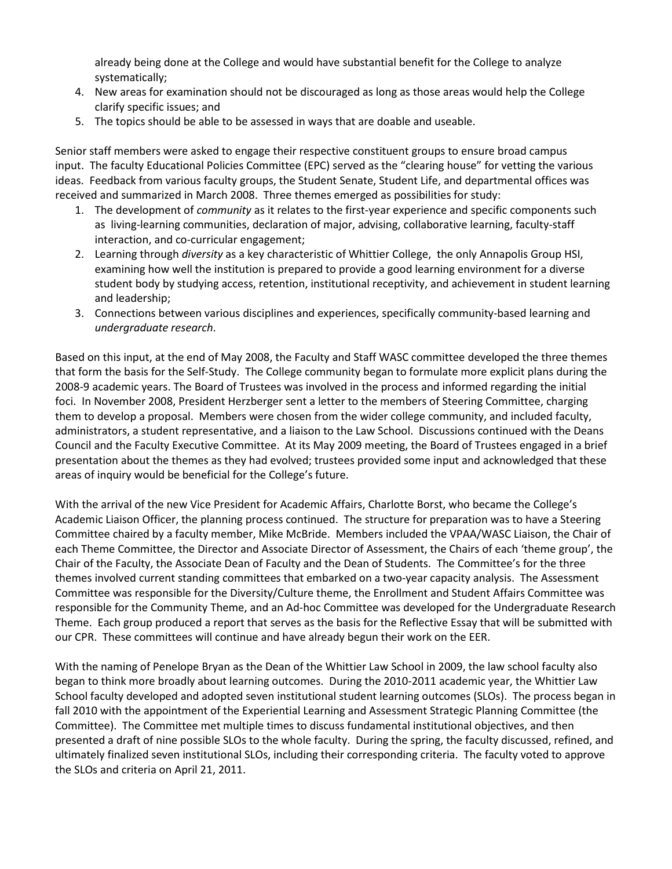already being done at the College and would have substantial benefit for the College to analyze systematically;

- 4. New areas for examination should not be discouraged as long as those areas would help the College clarify specific issues; and
- 5. The topics should be able to be assessed in ways that are doable and useable.

Senior staff members were asked to engage their respective constituent groups to ensure broad campus input. The faculty Educational Policies Committee (EPC) served as the "clearing house" for vetting the various ideas. Feedback from various faculty groups, the Student Senate, Student Life, and departmental offices was received and summarized in March 2008. Three themes emerged as possibilities for study:

- 1. The development of *community* as it relates to the first-year experience and specific components such as living-learning communities, declaration of major, advising, collaborative learning, faculty-staff interaction, and co-curricular engagement;
- 2. Learning through *diversity* as a key characteristic of Whittier College, the only Annapolis Group HSI, examining how well the institution is prepared to provide a good learning environment for a diverse student body by studying access, retention, institutional receptivity, and achievement in student learning and leadership;
- 3. Connections between various disciplines and experiences, specifically community-based learning and *undergraduate research*.

Based on this input, at the end of May 2008, the Faculty and Staff WASC committee developed the three themes that form the basis for the Self-Study. The College community began to formulate more explicit plans during the 2008-9 academic years. The Board of Trustees was involved in the process and informed regarding the initial foci. In November 2008, President Herzberger sent a letter to the members of Steering Committee, charging them to develop a proposal. Members were chosen from the wider college community, and included faculty, administrators, a student representative, and a liaison to the Law School. Discussions continued with the Deans Council and the Faculty Executive Committee. At its May 2009 meeting, the Board of Trustees engaged in a brief presentation about the themes as they had evolved; trustees provided some input and acknowledged that these areas of inquiry would be beneficial for the College's future.

With the arrival of the new Vice President for Academic Affairs, Charlotte Borst, who became the College's Academic Liaison Officer, the planning process continued. The structure for preparation was to have a Steering Committee chaired by a faculty member, Mike McBride. Members included the VPAA/WASC Liaison, the Chair of each Theme Committee, the Director and Associate Director of Assessment, the Chairs of each 'theme group', the Chair of the Faculty, the Associate Dean of Faculty and the Dean of Students. The Committee's for the three themes involved current standing committees that embarked on a two-year capacity analysis. The Assessment Committee was responsible for the Diversity/Culture theme, the Enrollment and Student Affairs Committee was responsible for the Community Theme, and an Ad-hoc Committee was developed for the Undergraduate Research Theme. Each group produced a report that serves as the basis for the Reflective Essay that will be submitted with our CPR. These committees will continue and have already begun their work on the EER.

With the naming of Penelope Bryan as the Dean of the Whittier Law School in 2009, the law school faculty also began to think more broadly about learning outcomes. During the 2010-2011 academic year, the Whittier Law School faculty developed and adopted seven institutional student learning outcomes (SLOs). The process began in fall 2010 with the appointment of the Experiential Learning and Assessment Strategic Planning Committee (the Committee). The Committee met multiple times to discuss fundamental institutional objectives, and then presented a draft of nine possible SLOs to the whole faculty. During the spring, the faculty discussed, refined, and ultimately finalized seven institutional SLOs, including their corresponding criteria. The faculty voted to approve the SLOs and criteria on April 21, 2011.